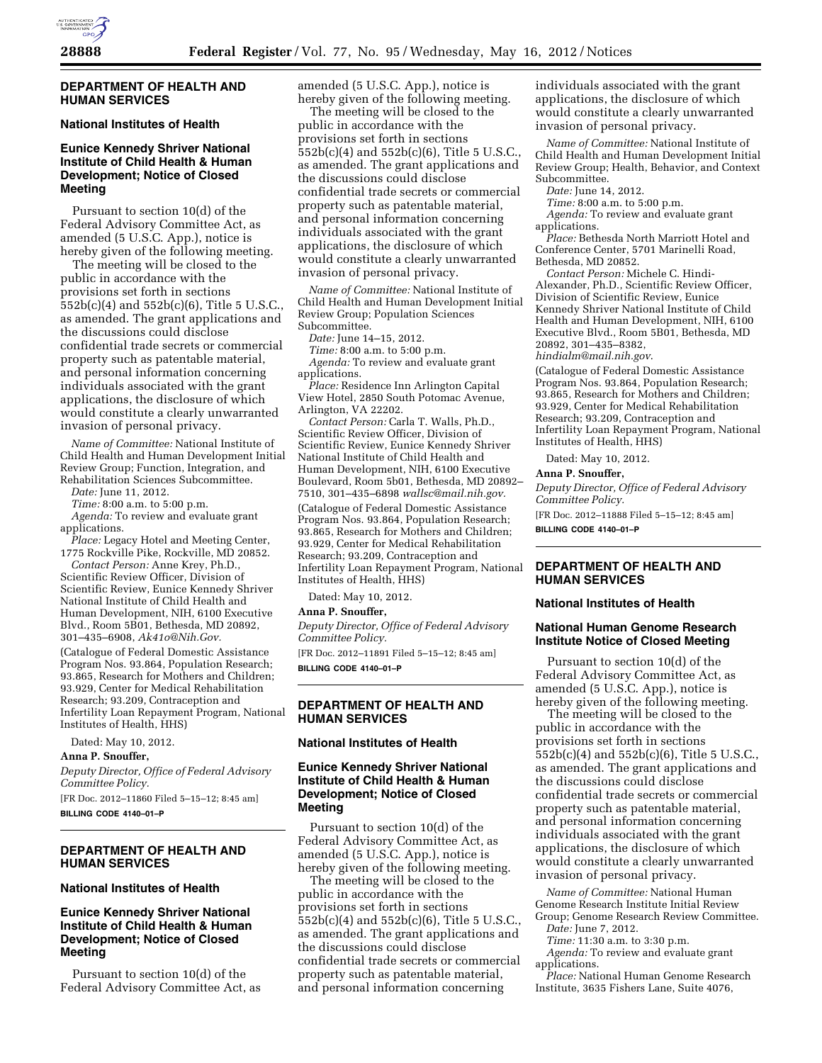

## **DEPARTMENT OF HEALTH AND HUMAN SERVICES**

## **National Institutes of Health**

# **Eunice Kennedy Shriver National Institute of Child Health & Human Development; Notice of Closed Meeting**

Pursuant to section 10(d) of the Federal Advisory Committee Act, as amended (5 U.S.C. App.), notice is hereby given of the following meeting.

The meeting will be closed to the public in accordance with the provisions set forth in sections 552b(c)(4) and 552b(c)(6), Title 5 U.S.C., as amended. The grant applications and the discussions could disclose confidential trade secrets or commercial property such as patentable material, and personal information concerning individuals associated with the grant applications, the disclosure of which would constitute a clearly unwarranted invasion of personal privacy.

*Name of Committee:* National Institute of Child Health and Human Development Initial Review Group; Function, Integration, and Rehabilitation Sciences Subcommittee.

*Date:* June 11, 2012.

*Time:* 8:00 a.m. to 5:00 p.m.

*Agenda:* To review and evaluate grant applications.

*Place:* Legacy Hotel and Meeting Center, 1775 Rockville Pike, Rockville, MD 20852.

*Contact Person:* Anne Krey, Ph.D., Scientific Review Officer, Division of Scientific Review, Eunice Kennedy Shriver National Institute of Child Health and Human Development, NIH, 6100 Executive Blvd., Room 5B01, Bethesda, MD 20892, 301–435–6908, *[Ak41o@Nih.Gov.](mailto:Ak41o@Nih.Gov)* 

(Catalogue of Federal Domestic Assistance Program Nos. 93.864, Population Research; 93.865, Research for Mothers and Children; 93.929, Center for Medical Rehabilitation Research; 93.209, Contraception and Infertility Loan Repayment Program, National Institutes of Health, HHS)

Dated: May 10, 2012.

**Anna P. Snouffer,** 

*Deputy Director, Office of Federal Advisory Committee Policy.* 

[FR Doc. 2012–11860 Filed 5–15–12; 8:45 am] **BILLING CODE 4140–01–P** 

## **DEPARTMENT OF HEALTH AND HUMAN SERVICES**

### **National Institutes of Health**

## **Eunice Kennedy Shriver National Institute of Child Health & Human Development; Notice of Closed Meeting**

Pursuant to section 10(d) of the Federal Advisory Committee Act, as amended (5 U.S.C. App.), notice is hereby given of the following meeting.

The meeting will be closed to the public in accordance with the provisions set forth in sections 552b(c)(4) and 552b(c)(6), Title 5 U.S.C., as amended. The grant applications and the discussions could disclose confidential trade secrets or commercial property such as patentable material, and personal information concerning individuals associated with the grant applications, the disclosure of which would constitute a clearly unwarranted invasion of personal privacy.

*Name of Committee:* National Institute of Child Health and Human Development Initial Review Group; Population Sciences Subcommittee.

*Date:* June 14–15, 2012.

*Time:* 8:00 a.m. to 5:00 p.m. Agenda: To review and evaluate grant

applications.

*Place:* Residence Inn Arlington Capital View Hotel, 2850 South Potomac Avenue, Arlington, VA 22202.

*Contact Person:* Carla T. Walls, Ph.D., Scientific Review Officer, Division of Scientific Review, Eunice Kennedy Shriver National Institute of Child Health and Human Development, NIH, 6100 Executive Boulevard, Room 5b01, Bethesda, MD 20892– 7510, 301–435–6898 *[wallsc@mail.nih.gov.](mailto:wallsc@mail.nih.gov)*  (Catalogue of Federal Domestic Assistance Program Nos. 93.864, Population Research; 93.865, Research for Mothers and Children; 93.929, Center for Medical Rehabilitation Research; 93.209, Contraception and Infertility Loan Repayment Program, National Institutes of Health, HHS)

Dated: May 10, 2012.

## **Anna P. Snouffer,**

*Deputy Director, Office of Federal Advisory Committee Policy.* 

[FR Doc. 2012–11891 Filed 5–15–12; 8:45 am] **BILLING CODE 4140–01–P** 

### **DEPARTMENT OF HEALTH AND HUMAN SERVICES**

### **National Institutes of Health**

## **Eunice Kennedy Shriver National Institute of Child Health & Human Development; Notice of Closed Meeting**

Pursuant to section 10(d) of the Federal Advisory Committee Act, as amended (5 U.S.C. App.), notice is hereby given of the following meeting.

The meeting will be closed to the public in accordance with the provisions set forth in sections 552b(c)(4) and 552b(c)(6), Title 5 U.S.C., as amended. The grant applications and the discussions could disclose confidential trade secrets or commercial property such as patentable material, and personal information concerning

individuals associated with the grant applications, the disclosure of which would constitute a clearly unwarranted invasion of personal privacy.

*Name of Committee:* National Institute of Child Health and Human Development Initial Review Group; Health, Behavior, and Context Subcommittee.

*Date:* June 14, 2012.

*Time:* 8:00 a.m. to 5:00 p.m.

*Agenda:* To review and evaluate grant applications.

*Place:* Bethesda North Marriott Hotel and Conference Center, 5701 Marinelli Road, Bethesda, MD 20852.

*Contact Person:* Michele C. Hindi-Alexander, Ph.D., Scientific Review Officer, Division of Scientific Review, Eunice Kennedy Shriver National Institute of Child Health and Human Development, NIH, 6100 Executive Blvd., Room 5B01, Bethesda, MD 20892, 301–435–8382,

*[hindialm@mail.nih.gov](mailto:hindialm@mail.nih.gov)*.

(Catalogue of Federal Domestic Assistance Program Nos. 93.864, Population Research; 93.865, Research for Mothers and Children; 93.929, Center for Medical Rehabilitation Research; 93.209, Contraception and Infertility Loan Repayment Program, National Institutes of Health, HHS)

Dated: May 10, 2012.

#### **Anna P. Snouffer,**

*Deputy Director, Office of Federal Advisory Committee Policy.* 

[FR Doc. 2012–11888 Filed 5–15–12; 8:45 am] **BILLING CODE 4140–01–P** 

### **DEPARTMENT OF HEALTH AND HUMAN SERVICES**

### **National Institutes of Health**

## **National Human Genome Research Institute Notice of Closed Meeting**

Pursuant to section 10(d) of the Federal Advisory Committee Act, as amended (5 U.S.C. App.), notice is hereby given of the following meeting.

The meeting will be closed to the public in accordance with the provisions set forth in sections 552b(c)(4) and 552b(c)(6), Title 5 U.S.C., as amended. The grant applications and the discussions could disclose confidential trade secrets or commercial property such as patentable material, and personal information concerning individuals associated with the grant applications, the disclosure of which would constitute a clearly unwarranted invasion of personal privacy.

*Name of Committee:* National Human Genome Research Institute Initial Review Group; Genome Research Review Committee.

*Date:* June 7, 2012.

*Time:* 11:30 a.m. to 3:30 p.m.

*Agenda:* To review and evaluate grant applications.

*Place:* National Human Genome Research Institute, 3635 Fishers Lane, Suite 4076,